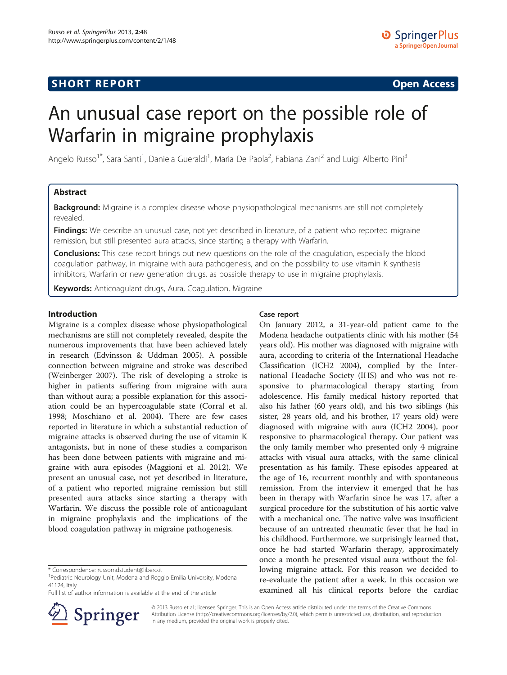# **SHORT REPORT SHORT CONSUMING THE CONSUMING THE CONSUMING THE CONSUMING THE CONSUMING THE CONSUMING THE CONSUMING THE CONSUMING THE CONSUMING THE CONSUMING THE CONSUMING THE CONSUMING THE CONSUMING THE CONSUMING THE CO**

# An unusual case report on the possible role of Warfarin in migraine prophylaxis

Angelo Russo<sup>1\*</sup>, Sara Santi<sup>1</sup>, Daniela Gueraldi<sup>1</sup>, Maria De Paola<sup>2</sup>, Fabiana Zani<sup>2</sup> and Luigi Alberto Pini<sup>3</sup>

# Abstract

**Background:** Migraine is a complex disease whose physiopathological mechanisms are still not completely revealed.

Findings: We describe an unusual case, not yet described in literature, of a patient who reported migraine remission, but still presented aura attacks, since starting a therapy with Warfarin.

**Conclusions:** This case report brings out new questions on the role of the coagulation, especially the blood coagulation pathway, in migraine with aura pathogenesis, and on the possibility to use vitamin K synthesis inhibitors, Warfarin or new generation drugs, as possible therapy to use in migraine prophylaxis.

Keywords: Anticoagulant drugs, Aura, Coagulation, Migraine

### Introduction

Migraine is a complex disease whose physiopathological mechanisms are still not completely revealed, despite the numerous improvements that have been achieved lately in research (Edvinsson & Uddman [2005](#page-2-0)). A possible connection between migraine and stroke was described (Weinberger [2007\)](#page-2-0). The risk of developing a stroke is higher in patients suffering from migraine with aura than without aura; a possible explanation for this association could be an hypercoagulable state (Corral et al. [1998](#page-2-0); Moschiano et al. [2004\)](#page-2-0). There are few cases reported in literature in which a substantial reduction of migraine attacks is observed during the use of vitamin K antagonists, but in none of these studies a comparison has been done between patients with migraine and migraine with aura episodes (Maggioni et al. [2012\)](#page-2-0). We present an unusual case, not yet described in literature, of a patient who reported migraine remission but still presented aura attacks since starting a therapy with Warfarin. We discuss the possible role of anticoagulant in migraine prophylaxis and the implications of the blood coagulation pathway in migraine pathogenesis.

Full list of author information is available at the end of the article



### Case report

On January 2012, a 31-year-old patient came to the Modena headache outpatients clinic with his mother (54 years old). His mother was diagnosed with migraine with aura, according to criteria of the International Headache Classification (ICH2 2004), complied by the International Headache Society (IHS) and who was not responsive to pharmacological therapy starting from adolescence. His family medical history reported that also his father (60 years old), and his two siblings (his sister, 28 years old, and his brother, 17 years old) were diagnosed with migraine with aura (ICH2 2004), poor responsive to pharmacological therapy. Our patient was the only family member who presented only 4 migraine attacks with visual aura attacks, with the same clinical presentation as his family. These episodes appeared at the age of 16, recurrent monthly and with spontaneous remission. From the interview it emerged that he has been in therapy with Warfarin since he was 17, after a surgical procedure for the substitution of his aortic valve with a mechanical one. The native valve was insufficient because of an untreated rheumatic fever that he had in his childhood. Furthermore, we surprisingly learned that, once he had started Warfarin therapy, approximately once a month he presented visual aura without the following migraine attack. For this reason we decided to re-evaluate the patient after a week. In this occasion we examined all his clinical reports before the cardiac

© 2013 Russo et al.; licensee Springer. This is an Open Access article distributed under the terms of the Creative Commons Attribution License [\(http://creativecommons.org/licenses/by/2.0\)](http://creativecommons.org/licenses/by/2.0), which permits unrestricted use, distribution, and reproduction in any medium, provided the original work is properly cited.

<sup>\*</sup> Correspondence: [russomdstudent@libero.it](mailto:russomdstudent@libero.it) <sup>1</sup>

<sup>&</sup>lt;sup>1</sup> Pediatric Neurology Unit, Modena and Reggio Emilia University, Modena 41124, Italy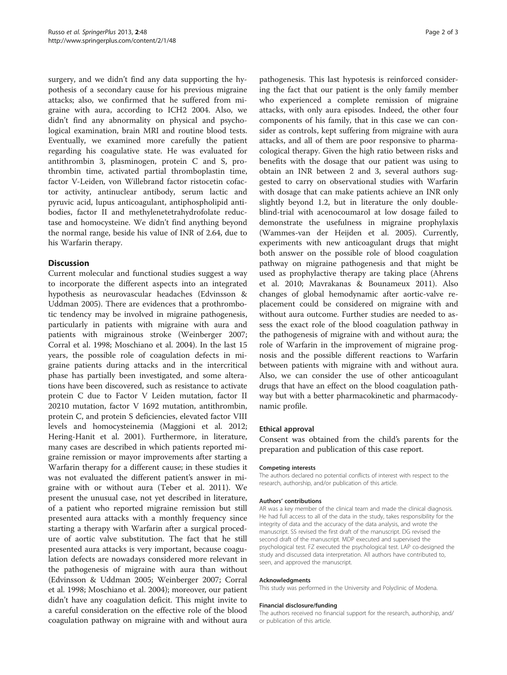surgery, and we didn't find any data supporting the hypothesis of a secondary cause for his previous migraine attacks; also, we confirmed that he suffered from migraine with aura, according to ICH2 2004. Also, we didn't find any abnormality on physical and psychological examination, brain MRI and routine blood tests. Eventually, we examined more carefully the patient regarding his coagulative state. He was evaluated for antithrombin 3, plasminogen, protein C and S, prothrombin time, activated partial thromboplastin time, factor V-Leiden, von Willebrand factor ristocetin cofactor activity, antinuclear antibody, serum lactic and pyruvic acid, lupus anticoagulant, antiphospholipid antibodies, factor II and methylenetetrahydrofolate reductase and homocysteine. We didn't find anything beyond the normal range, beside his value of INR of 2.64, due to his Warfarin therapy.

## **Discussion**

Current molecular and functional studies suggest a way to incorporate the different aspects into an integrated hypothesis as neurovascular headaches (Edvinsson & Uddman [2005](#page-2-0)). There are evidences that a prothrombotic tendency may be involved in migraine pathogenesis, particularly in patients with migraine with aura and patients with migrainous stroke (Weinberger [2007](#page-2-0); Corral et al. [1998](#page-2-0); Moschiano et al. [2004](#page-2-0)). In the last 15 years, the possible role of coagulation defects in migraine patients during attacks and in the intercritical phase has partially been investigated, and some alterations have been discovered, such as resistance to activate protein C due to Factor V Leiden mutation, factor II 20210 mutation, factor V 1692 mutation, antithrombin, protein C, and protein S deficiencies, elevated factor VIII levels and homocysteinemia (Maggioni et al. [2012](#page-2-0); Hering-Hanit et al. [2001\)](#page-2-0). Furthermore, in literature, many cases are described in which patients reported migraine remission or mayor improvements after starting a Warfarin therapy for a different cause; in these studies it was not evaluated the different patient's answer in migraine with or without aura (Teber et al. [2011](#page-2-0)). We present the unusual case, not yet described in literature, of a patient who reported migraine remission but still presented aura attacks with a monthly frequency since starting a therapy with Warfarin after a surgical procedure of aortic valve substitution. The fact that he still presented aura attacks is very important, because coagulation defects are nowadays considered more relevant in the pathogenesis of migraine with aura than without (Edvinsson & Uddman [2005;](#page-2-0) Weinberger [2007;](#page-2-0) Corral et al. [1998;](#page-2-0) Moschiano et al. [2004\)](#page-2-0); moreover, our patient didn't have any coagulation deficit. This might invite to a careful consideration on the effective role of the blood coagulation pathway on migraine with and without aura pathogenesis. This last hypotesis is reinforced considering the fact that our patient is the only family member who experienced a complete remission of migraine attacks, with only aura episodes. Indeed, the other four components of his family, that in this case we can consider as controls, kept suffering from migraine with aura attacks, and all of them are poor responsive to pharmacological therapy. Given the high ratio between risks and benefits with the dosage that our patient was using to obtain an INR between 2 and 3, several authors suggested to carry on observational studies with Warfarin with dosage that can make patients achieve an INR only slightly beyond 1.2, but in literature the only doubleblind-trial with acenocoumarol at low dosage failed to demonstrate the usefulness in migraine prophylaxis (Wammes-van der Heijden et al. [2005](#page-2-0)). Currently, experiments with new anticoagulant drugs that might both answer on the possible role of blood coagulation pathway on migraine pathogenesis and that might be used as prophylactive therapy are taking place (Ahrens et al. [2010;](#page-2-0) Mavrakanas & Bounameux [2011](#page-2-0)). Also changes of global hemodynamic after aortic-valve replacement could be considered on migraine with and without aura outcome. Further studies are needed to assess the exact role of the blood coagulation pathway in the pathogenesis of migraine with and without aura; the role of Warfarin in the improvement of migraine prognosis and the possible different reactions to Warfarin between patients with migraine with and without aura. Also, we can consider the use of other anticoagulant drugs that have an effect on the blood coagulation pathway but with a better pharmacokinetic and pharmacodynamic profile.

### Ethical approval

Consent was obtained from the child's parents for the preparation and publication of this case report.

#### Competing interests

The authors declared no potential conflicts of interest with respect to the research, authorship, and/or publication of this article.

#### Authors' contributions

AR was a key member of the clinical team and made the clinical diagnosis. He had full access to all of the data in the study, takes responsibility for the integrity of data and the accuracy of the data analysis, and wrote the manuscript. SS revised the first draft of the manuscript. DG revised the second draft of the manuscript. MDP executed and supervised the psychological test. FZ executed the psychological test. LAP co-designed the study and discussed data interpretation. All authors have contributed to, seen, and approved the manuscript.

#### Acknowledgments

This study was performed in the University and Polyclinic of Modena.

#### Financial disclosure/funding

The authors received no financial support for the research, authorship, and/ or publication of this article.